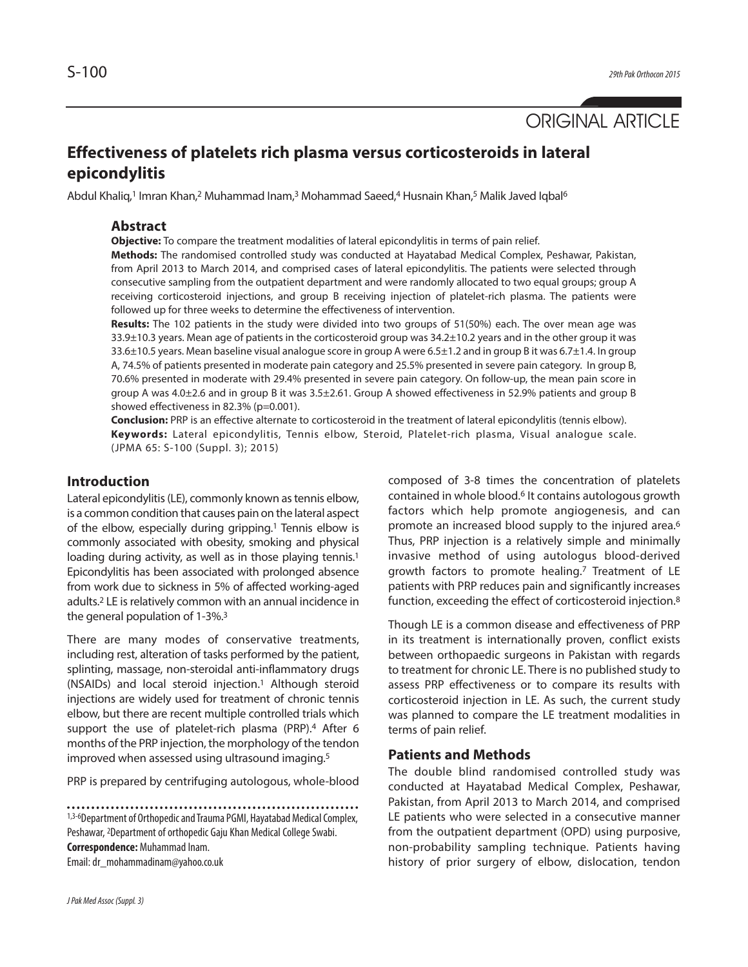# ORIGINAL ARTICLE

# **Effectiveness of platelets rich plasma versus corticosteroids in lateral epicondylitis**

Abdul Khaliq,<sup>1</sup> Imran Khan,<sup>2</sup> Muhammad Inam,<sup>3</sup> Mohammad Saeed,<sup>4</sup> Husnain Khan,<sup>5</sup> Malik Javed Iqbal<sup>6</sup>

## **Abstract**

**Objective:** To compare the treatment modalities of lateral epicondylitis in terms of pain relief.

**Methods:** The randomised controlled study was conducted at Hayatabad Medical Complex, Peshawar, Pakistan, from April 2013 to March 2014, and comprised cases of lateral epicondylitis. The patients were selected through consecutive sampling from the outpatient department and were randomly allocated to two equal groups; group A receiving corticosteroid injections, and group B receiving injection of platelet-rich plasma. The patients were followed up for three weeks to determine the effectiveness of intervention.

**Results:** The 102 patients in the study were divided into two groups of 51(50%) each. The over mean age was 33.9±10.3 years. Mean age of patients in the corticosteroid group was 34.2±10.2 years and in the other group it was 33.6±10.5 years. Mean baseline visual analogue score in group A were 6.5±1.2 and in group B it was 6.7±1.4. In group A, 74.5% of patients presented in moderate pain category and 25.5% presented in severe pain category. In group B, 70.6% presented in moderate with 29.4% presented in severe pain category. On follow-up, the mean pain score in group A was 4.0±2.6 and in group B it was 3.5±2.61. Group A showed effectiveness in 52.9% patients and group B showed effectiveness in 82.3% (p=0.001).

**Conclusion:** PRP is an effective alternate to corticosteroid in the treatment of lateral epicondylitis (tennis elbow). **Keywords:** Lateral epicondylitis, Tennis elbow, Steroid, Platelet-rich plasma, Visual analogue scale. (JPMA 65: S-100 (Suppl. 3); 2015)

## **Introduction**

Lateral epicondylitis (LE), commonly known as tennis elbow, is a common condition that causes pain on the lateral aspect of the elbow, especially during gripping. <sup>1</sup> Tennis elbow is commonly associated with obesity, smoking and physical loading during activity, as well as in those playing tennis.<sup>1</sup> Epicondylitis has been associated with prolonged absence from work due to sickness in 5% of affected working-aged adults. <sup>2</sup> LE isrelatively common with an annual incidence in the general population of 1-3%. 3

There are many modes of conservative treatments, including rest, alteration of tasks performed by the patient, splinting, massage, non-steroidal anti-inflammatory drugs (NSAIDs) and local steroid injection. <sup>1</sup> Although steroid injections are widely used for treatment of chronic tennis elbow, but there are recent multiple controlled trials which support the use of platelet-rich plasma (PRP).<sup>4</sup> After 6 months of the PRP injection, the morphology of the tendon improved when assessed using ultrasound imaging. 5

PRP is prepared by centrifuging autologous, whole-blood

1,3-6Department of Orthopedic and Trauma PGMI, Hayatabad Medical Complex, Peshawar, <sup>2</sup>Department of orthopedic Gaju Khan Medical College Swabi. **Correspondence: Muhammad Inam.** Email:dr\_mohammadinam@yahoo.co.uk

composed of 3-8 times the concentration of platelets contained in whole blood. <sup>6</sup> It contains autologous growth factors which help promote angiogenesis, and can promote an increased blood supply to the injured area. 6 Thus, PRP injection is a relatively simple and minimally invasive method of using autologus blood-derived growth factors to promote healing. <sup>7</sup> Treatment of LE patients with PRP reduces pain and significantly increases function, exceeding the effect of corticosteroid injection. 8

Though LE is a common disease and effectiveness of PRP in its treatment is internationally proven, conflict exists between orthopaedic surgeons in Pakistan with regards to treatment for chronic LE. There is no published study to assess PRP effectiveness or to compare its results with corticosteroid injection in LE. As such, the current study was planned to compare the LE treatment modalities in terms of pain relief.

# **Patients and Methods**

The double blind randomised controlled study was conducted at Hayatabad Medical Complex, Peshawar, Pakistan, from April 2013 to March 2014, and comprised LE patients who were selected in a consecutive manner from the outpatient department (OPD) using purposive, non-probability sampling technique. Patients having history of prior surgery of elbow, dislocation, tendon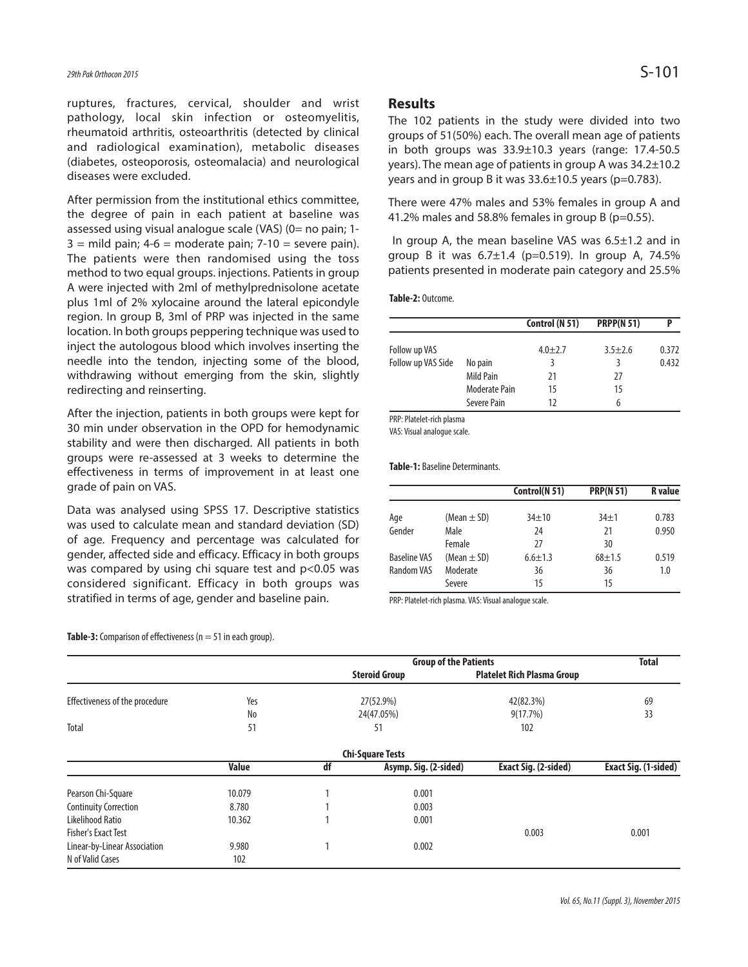ruptures, fractures, cervical, shoulder and wrist pathology, local skin infection or osteomyelitis, rheumatoid arthritis, osteoarthritis (detected by clinical and radiological examination), metabolic diseases (diabetes, osteoporosis, osteomalacia) and neurological diseases were excluded.

After permission from the institutional ethics committee, the degree of pain in each patient at baseline was assessed using visual analogue scale (VAS) (0= no pain; 1-  $3 =$  mild pain;  $4-6 =$  moderate pain;  $7-10 =$  severe pain). The patients were then randomised using the toss method to two equal groups. injections. Patients in group A were injected with 2ml of methylprednisolone acetate plus 1ml of 2% xylocaine around the lateral epicondyle region. In group B, 3ml of PRP was injected in the same location. In both groups peppering technique was used to inject the autologous blood which involves inserting the needle into the tendon, injecting some of the blood, withdrawing without emerging from the skin, slightly redirecting and reinserting.

After the injection, patients in both groups were kept for 30 min under observation in the OPD for hemodynamic stability and were then discharged. All patients in both groups were re-assessed at 3 weeks to determine the effectiveness in terms of improvement in at least one grade of pain on VAS.

Data was analysed using SPSS 17. Descriptive statistics was used to calculate mean and standard deviation (SD) of age. Frequency and percentage was calculated for gender, affected side and efficacy. Efficacy in both groups was compared by using chi square test and p<0.05 was considered significant. Efficacy in both groups was stratified in terms of age, gender and baseline pain.

**Results**

The 102 patients in the study were divided into two groups of 51(50%) each. The overall mean age of patients in both groups was 33.9±10.3 years (range: 17.4-50.5 years). The mean age of patients in group A was 34.2±10.2 years and in group B it was  $33.6\pm10.5$  years (p=0.783).

There were 47% males and 53% females in group A and 41.2% males and 58.8% females in group B (p=0.55).

In group A, the mean baseline VAS was 6.5±1.2 and in group B it was  $6.7 \pm 1.4$  (p=0.519). In group A, 74.5% patients presented in moderate pain category and 25.5%

#### **Table-2:** Outcome.

|                    |                      | Control (N 51) | <b>PRPP(N 51)</b> | Þ     |
|--------------------|----------------------|----------------|-------------------|-------|
| Follow up VAS      |                      | $4.0 + 2.7$    | $3.5 + 2.6$       | 0.372 |
| Follow up VAS Side | No pain              | 3              |                   | 0.432 |
|                    | Mild Pain            | 21             | 27                |       |
|                    | <b>Moderate Pain</b> | 15             | 15                |       |
|                    | Severe Pain          | 12             | 6                 |       |

PRP: Platelet-rich plasma

VAS: Visual analogue scale.

**Table-1:** Baseline Determinants.

|                     |                 | Control(N 51) | <b>PRP(N 51)</b> | <b>R</b> value |
|---------------------|-----------------|---------------|------------------|----------------|
| Age                 | (Mean $\pm$ SD) | $34 + 10$     | $34+1$           | 0.783          |
| Gender              | Male            | 24            | 21               | 0.950          |
|                     | Female          | 27            | 30               |                |
| <b>Baseline VAS</b> | (Mean $\pm$ SD) | $6.6 \pm 1.3$ | $68 + 1.5$       | 0.519          |
| Random VAS          | Moderate        | 36            | 36               | 1.0            |
|                     | Severe          | 15            | 15               |                |

PRP: Platelet-rich plasma. VAS: Visual analogue scale.

|                                |              | <b>Group of the Patients</b> |                         |                                   | <b>Total</b>                |
|--------------------------------|--------------|------------------------------|-------------------------|-----------------------------------|-----------------------------|
|                                |              |                              | <b>Steroid Group</b>    | <b>Platelet Rich Plasma Group</b> |                             |
| Effectiveness of the procedure | Yes          | 27(52.9%)                    |                         | 42(82.3%)                         | 69                          |
|                                | No           | 24(47.05%)                   |                         | 9(17.7%)                          | 33                          |
| Total                          | 51           | 51                           |                         | 102                               |                             |
|                                |              |                              | <b>Chi-Square Tests</b> |                                   |                             |
|                                | <b>Value</b> | df                           | Asymp. Sig. (2-sided)   | Exact Sig. (2-sided)              | <b>Exact Sig. (1-sided)</b> |
| Pearson Chi-Square             | 10.079       |                              | 0.001                   |                                   |                             |
| <b>Continuity Correction</b>   | 8.780        |                              | 0.003                   |                                   |                             |
| Likelihood Ratio               | 10.362       |                              | 0.001                   |                                   |                             |
| <b>Fisher's Exact Test</b>     |              |                              |                         | 0.003                             | 0.001                       |
| Linear-by-Linear Association   | 9.980        |                              | 0.002                   |                                   |                             |
| N of Valid Cases               | 102          |                              |                         |                                   |                             |

**Table-3:** Comparison of effectiveness ( $n = 51$  in each group).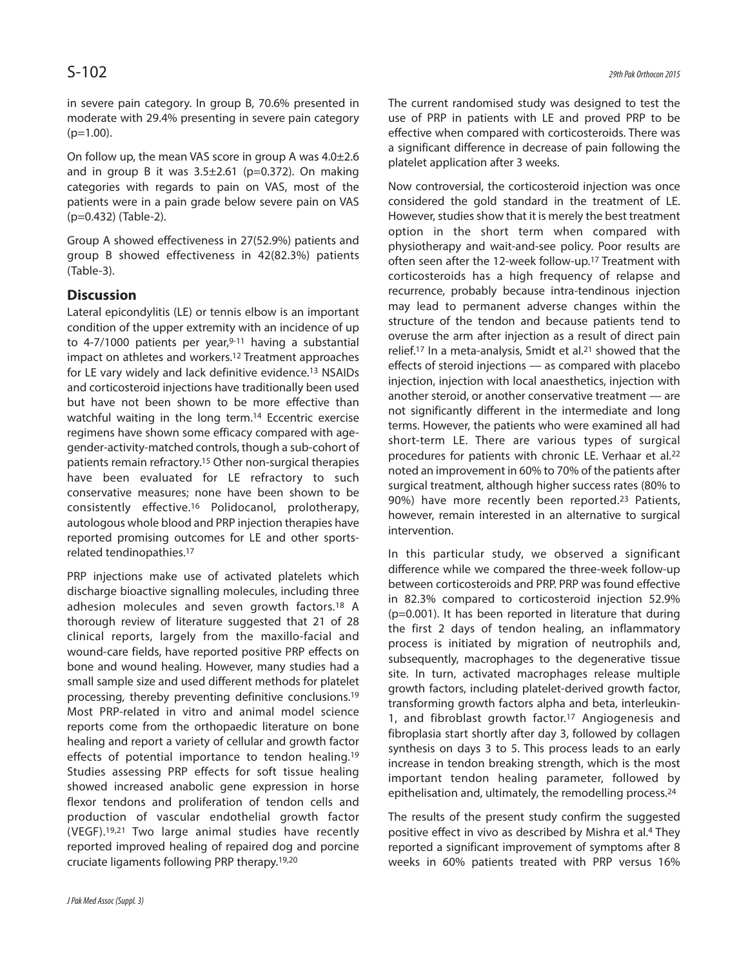in severe pain category. In group B, 70.6% presented in moderate with 29.4% presenting in severe pain category  $(p=1.00)$ .

On follow up, the mean VAS score in group A was  $4.0\pm2.6$ and in group B it was  $3.5\pm2.61$  (p=0.372). On making categories with regards to pain on VAS, most of the patients were in a pain grade below severe pain on VAS (p=0.432) (Table-2).

Group A showed effectiveness in 27(52.9%) patients and group B showed effectiveness in 42(82.3%) patients (Table-3).

# **Discussion**

Lateral epicondylitis (LE) or tennis elbow is an important condition of the upper extremity with an incidence of up to 4-7/1000 patients per year, 9-11 having a substantial impact on athletes and workers. 12 Treatment approaches for LE vary widely and lack definitive evidence. 13 NSAIDs and corticosteroid injections have traditionally been used but have not been shown to be more effective than watchful waiting in the long term. <sup>14</sup> Eccentric exercise regimens have shown some efficacy compared with agegender-activity-matched controls, though a sub-cohort of patients remain refractory. <sup>15</sup> Other non-surgical therapies have been evaluated for LE refractory to such conservative measures; none have been shown to be consistently effective. <sup>16</sup> Polidocanol, prolotherapy, autologous whole blood and PRP injection therapies have reported promising outcomes for LE and other sportsrelated tendinopathies. 17

PRP injections make use of activated platelets which discharge bioactive signalling molecules, including three adhesion molecules and seven growth factors. <sup>18</sup> A thorough review of literature suggested that 21 of 28 clinical reports, largely from the maxillo-facial and wound-care fields, have reported positive PRP effects on bone and wound healing. However, many studies had a small sample size and used different methods for platelet processing, thereby preventing definitive conclusions. 19 Most PRP-related in vitro and animal model science reports come from the orthopaedic literature on bone healing and report a variety of cellular and growth factor effects of potential importance to tendon healing.<sup>19</sup> Studies assessing PRP effects for soft tissue healing showed increased anabolic gene expression in horse flexor tendons and proliferation of tendon cells and production of vascular endothelial growth factor (VEGF). 19,21 Two large animal studies have recently reported improved healing of repaired dog and porcine cruciate ligaments following PRP therapy. 19,20

The current randomised study was designed to test the use of PRP in patients with LE and proved PRP to be effective when compared with corticosteroids. There was a significant difference in decrease of pain following the platelet application after 3 weeks.

Now controversial, the corticosteroid injection was once considered the gold standard in the treatment of LE. However, studies show that it is merely the best treatment option in the short term when compared with physiotherapy and wait-and-see policy. Poor results are often seen after the 12-week follow-up. <sup>17</sup> Treatment with corticosteroids has a high frequency of relapse and recurrence, probably because intra-tendinous injection may lead to permanent adverse changes within the structure of the tendon and because patients tend to overuse the arm after injection as a result of direct pain relief. 17 In a meta-analysis, Smidt et al. 21 showed that the effects of steroid injections — as compared with placebo injection, injection with local anaesthetics, injection with another steroid, or another conservative treatment — are not significantly different in the intermediate and long terms. However, the patients who were examined all had short-term LE. There are various types of surgical procedures for patients with chronic LE. Verhaar et al. 22 noted an improvement in 60% to 70% of the patients after surgical treatment, although higher success rates (80% to 90%) have more recently been reported.<sup>23</sup> Patients, however, remain interested in an alternative to surgical intervention.

In this particular study, we observed a significant difference while we compared the three-week follow-up between corticosteroids and PRP. PRP was found effective in 82.3% compared to corticosteroid injection 52.9% (p=0.001). It has been reported in literature that during the first 2 days of tendon healing, an inflammatory process is initiated by migration of neutrophils and, subsequently, macrophages to the degenerative tissue site. In turn, activated macrophages release multiple growth factors, including platelet-derived growth factor, transforming growth factors alpha and beta, interleukin-1, and fibroblast growth factor. <sup>17</sup> Angiogenesis and fibroplasia start shortly after day 3, followed by collagen synthesis on days 3 to 5. This process leads to an early increase in tendon breaking strength, which is the most important tendon healing parameter, followed by epithelisation and, ultimately, the remodelling process. 24

The results of the present study confirm the suggested positive effect in vivo as described by Mishra et al. <sup>4</sup> They reported a significant improvement of symptoms after 8 weeks in 60% patients treated with PRP versus 16%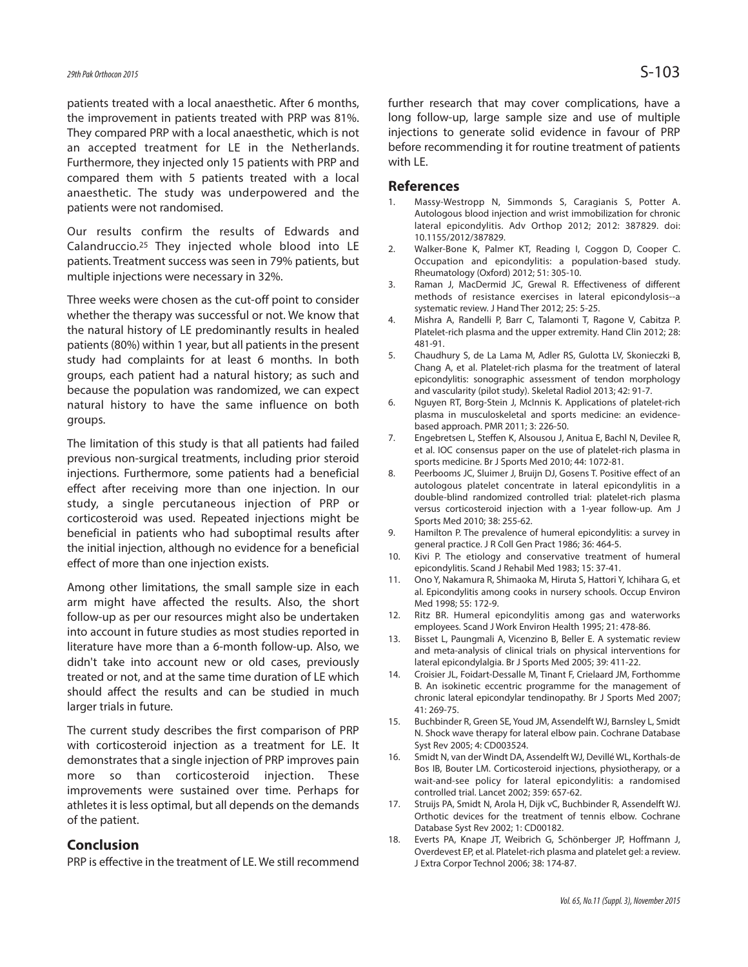patients treated with a local anaesthetic. After 6 months, the improvement in patients treated with PRP was 81%. They compared PRP with a local anaesthetic, which is not an accepted treatment for LE in the Netherlands. Furthermore, they injected only 15 patients with PRP and compared them with 5 patients treated with a local anaesthetic. The study was underpowered and the patients were not randomised.

Our results confirm the results of Edwards and Calandruccio. <sup>25</sup> They injected whole blood into LE patients. Treatment success was seen in 79% patients, but multiple injections were necessary in 32%.

Three weeks were chosen as the cut-off point to consider whether the therapy was successful or not. We know that the natural history of LE predominantly results in healed patients (80%) within 1 year, but all patients in the present study had complaints for at least 6 months. In both groups, each patient had a natural history; as such and because the population was randomized, we can expect natural history to have the same influence on both groups.

The limitation of this study is that all patients had failed previous non-surgical treatments, including prior steroid injections. Furthermore, some patients had a beneficial effect after receiving more than one injection. In our study, a single percutaneous injection of PRP or corticosteroid was used. Repeated injections might be beneficial in patients who had suboptimal results after the initial injection, although no evidence for a beneficial effect of more than one injection exists.

Among other limitations, the small sample size in each arm might have affected the results. Also, the short follow-up as per our resources might also be undertaken into account in future studies as most studies reported in literature have more than a 6-month follow-up. Also, we didn't take into account new or old cases, previously treated or not, and at the same time duration of LE which should affect the results and can be studied in much larger trials in future.

The current study describes the first comparison of PRP with corticosteroid injection as a treatment for LE. It demonstrates that a single injection of PRP improves pain more so than corticosteroid injection. These improvements were sustained over time. Perhaps for athletes it is less optimal, but all depends on the demands of the patient.

# **Conclusion**

PRP is effective in the treatment of LE. We still recommend

further research that may cover complications, have a long follow-up, large sample size and use of multiple injections to generate solid evidence in favour of PRP before recommending it for routine treatment of patients with LE.

### **References**

- 1. Massy-Westropp N, Simmonds S, Caragianis S, Potter A. Autologous blood injection and wrist immobilization for chronic lateral epicondylitis. Adv Orthop 2012; 2012: 387829. doi: 10.1155/2012/387829.
- 2. Walker-Bone K, Palmer KT, Reading I, Coggon D, Cooper C. Occupation and epicondylitis: a population-based study. Rheumatology (Oxford) 2012; 51: 305-10.
- 3. Raman J, MacDermid JC, Grewal R. Effectiveness of different methods of resistance exercises in lateral epicondylosis--a systematic review. J Hand Ther 2012; 25: 5-25.
- 4. Mishra A, Randelli P, Barr C, Talamonti T, Ragone V, Cabitza P. Platelet-rich plasma and the upper extremity. Hand Clin 2012; 28: 481-91.
- 5. Chaudhury S, de La Lama M, Adler RS, Gulotta LV, Skonieczki B, Chang A, et al. Platelet-rich plasma for the treatment of lateral epicondylitis: sonographic assessment of tendon morphology and vascularity (pilot study). Skeletal Radiol 2013; 42: 91-7.
- 6. Nguyen RT, Borg-Stein J, McInnis K. Applications of platelet-rich plasma in musculoskeletal and sports medicine: an evidencebased approach. PMR 2011; 3: 226-50.
- 7. Engebretsen L, Steffen K, Alsousou J, Anitua E, Bachl N, Devilee R, et al. IOC consensus paper on the use of platelet-rich plasma in sports medicine. Br J Sports Med 2010; 44: 1072-81.
- 8. Peerbooms JC, Sluimer J, Bruijn DJ, Gosens T. Positive effect of an autologous platelet concentrate in lateral epicondylitis in a double-blind randomized controlled trial: platelet-rich plasma versus corticosteroid injection with a 1-year follow-up. Am J Sports Med 2010; 38: 255-62.
- 9. Hamilton P. The prevalence of humeral epicondylitis: a survey in general practice. J R Coll Gen Pract 1986; 36: 464-5.
- 10. Kivi P. The etiology and conservative treatment of humeral epicondylitis. Scand J Rehabil Med 1983; 15: 37-41.
- 11. Ono Y, Nakamura R, Shimaoka M, Hiruta S, Hattori Y, Ichihara G, et al. Epicondylitis among cooks in nursery schools. Occup Environ Med 1998; 55: 172-9.
- 12. Ritz BR. Humeral epicondylitis among gas and waterworks employees. Scand J Work Environ Health 1995; 21: 478-86.
- 13. Bisset L, Paungmali A, Vicenzino B, Beller E. A systematic review and meta-analysis of clinical trials on physical interventions for lateral epicondylalgia. Br J Sports Med 2005; 39: 411-22.
- 14. Croisier JL, Foidart-Dessalle M, Tinant F, Crielaard JM, Forthomme B. An isokinetic eccentric programme for the management of chronic lateral epicondylar tendinopathy. Br J Sports Med 2007; 41: 269-75.
- 15. Buchbinder R, Green SE, Youd JM, Assendelft WJ, Barnsley L, Smidt N. Shock wave therapy for lateral elbow pain. Cochrane Database Syst Rev 2005; 4: CD003524.
- 16. Smidt N, van der Windt DA, Assendelft WJ, Devillé WL, Korthals-de Bos IB, Bouter LM. Corticosteroid injections, physiotherapy, or a wait-and-see policy for lateral epicondylitis: a randomised controlled trial. Lancet 2002; 359: 657-62.
- 17. Struijs PA, Smidt N, Arola H, Dijk vC, Buchbinder R, Assendelft WJ. Orthotic devices for the treatment of tennis elbow. Cochrane Database Syst Rev 2002; 1: CD00182.
- 18. Everts PA, Knape JT, Weibrich G, Schönberger JP, Hoffmann J, Overdevest EP, et al. Platelet-rich plasma and platelet gel: a review. J Extra Corpor Technol 2006; 38: 174-87.